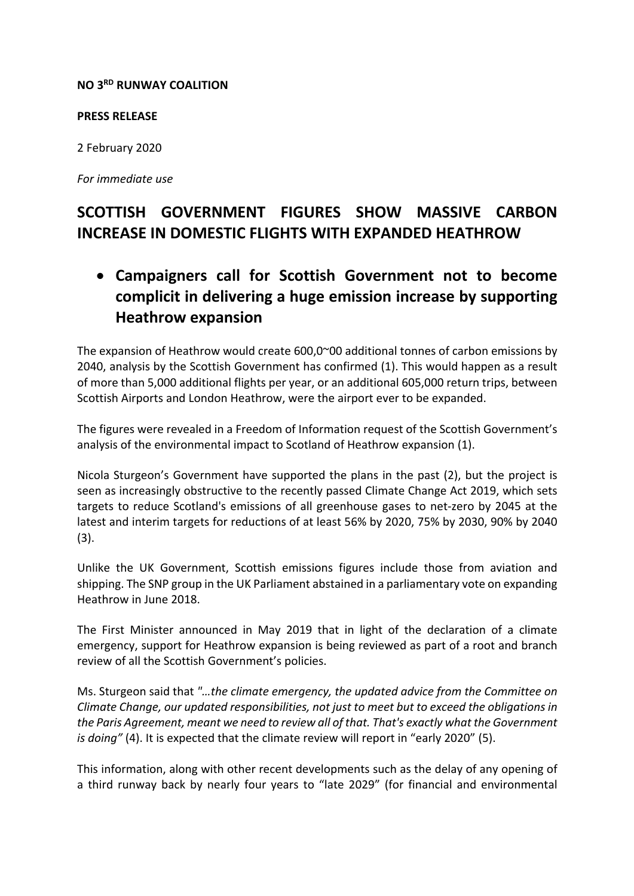## **NO 3RD RUNWAY COALITION**

## **PRESS RELEASE**

2 February 2020

*For immediate use*

## **SCOTTISH GOVERNMENT FIGURES SHOW MASSIVE CARBON INCREASE IN DOMESTIC FLIGHTS WITH EXPANDED HEATHROW**

• **Campaigners call for Scottish Government not to become complicit in delivering a huge emission increase by supporting Heathrow expansion**

The expansion of Heathrow would create  $600,0^{\circ}00$  additional tonnes of carbon emissions by 2040, analysis by the Scottish Government has confirmed (1). This would happen as a result of more than 5,000 additional flights per year, or an additional 605,000 return trips, between Scottish Airports and London Heathrow, were the airport ever to be expanded.

The figures were revealed in a Freedom of Information request of the Scottish Government's analysis of the environmental impact to Scotland of Heathrow expansion (1).

Nicola Sturgeon's Government have supported the plans in the past (2), but the project is seen as increasingly obstructive to the recently passed Climate Change Act 2019, which sets targets to reduce Scotland's emissions of all greenhouse gases to net-zero by 2045 at the latest and interim targets for reductions of at least 56% by 2020, 75% by 2030, 90% by 2040 (3).

Unlike the UK Government, Scottish emissions figures include those from aviation and shipping. The SNP group in the UK Parliament abstained in a parliamentary vote on expanding Heathrow in June 2018.

The First Minister announced in May 2019 that in light of the declaration of a climate emergency, support for Heathrow expansion is being reviewed as part of a root and branch review of all the Scottish Government's policies.

Ms. Sturgeon said that *"…the climate emergency, the updated advice from the Committee on Climate Change, our updated responsibilities, not just to meet but to exceed the obligations in the Paris Agreement, meant we need to review all of that. That's exactly what the Government is doing"* (4). It is expected that the climate review will report in "early 2020" (5).

This information, along with other recent developments such as the delay of any opening of a third runway back by nearly four years to "late 2029" (for financial and environmental